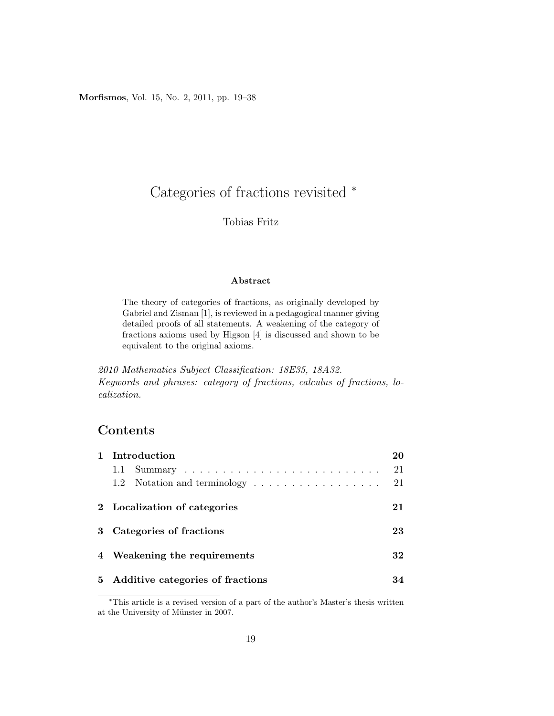Morfismos, Vol. 15, No. 2, 2011, pp. 19–38

# Categories of fractions revisited <sup>∗</sup>

#### Tobias Fritz

#### Abstract

The theory of categories of fractions, as originally developed by Gabriel and Zisman [1], is reviewed in a pedagogical manner giving detailed proofs of all statements. A weakening of the category of fractions axioms used by Higson [4] is discussed and shown to be equivalent to the original axioms.

2010 Mathematics Subject Classification: 18E35, 18A32. Keywords and phrases: category of fractions, calculus of fractions, localization.

# Contents

| 1 Introduction                                                              | 20 |
|-----------------------------------------------------------------------------|----|
| 1.1                                                                         | 21 |
| 1.2 Notation and terminology $\ldots \ldots \ldots \ldots \ldots \ldots$ 21 |    |
| 2 Localization of categories                                                | 21 |
| 3 Categories of fractions                                                   | 23 |
| 4 Weakening the requirements                                                | 32 |
| 5 Additive categories of fractions                                          | 34 |

<sup>∗</sup>This article is a revised version of a part of the author's Master's thesis written at the University of Münster in 2007.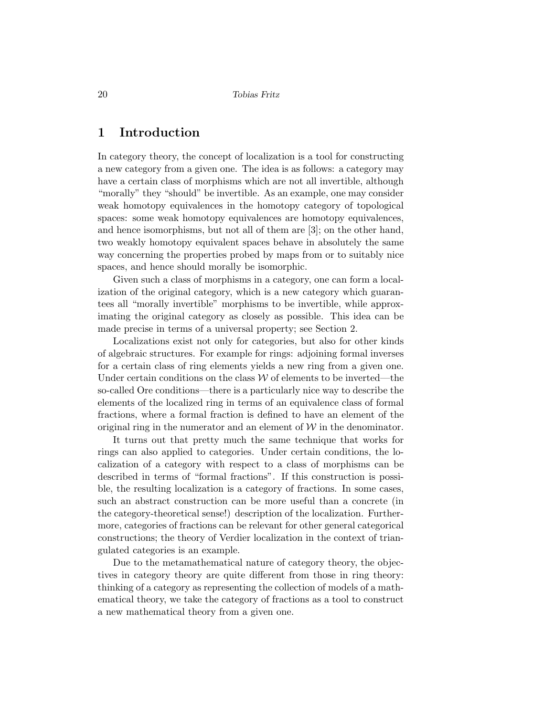# 1 Introduction

In category theory, the concept of localization is a tool for constructing a new category from a given one. The idea is as follows: a category may have a certain class of morphisms which are not all invertible, although "morally" they "should" be invertible. As an example, one may consider weak homotopy equivalences in the homotopy category of topological spaces: some weak homotopy equivalences are homotopy equivalences, and hence isomorphisms, but not all of them are [3]; on the other hand, two weakly homotopy equivalent spaces behave in absolutely the same way concerning the properties probed by maps from or to suitably nice spaces, and hence should morally be isomorphic.

Given such a class of morphisms in a category, one can form a localization of the original category, which is a new category which guarantees all "morally invertible" morphisms to be invertible, while approximating the original category as closely as possible. This idea can be made precise in terms of a universal property; see Section 2.

Localizations exist not only for categories, but also for other kinds of algebraic structures. For example for rings: adjoining formal inverses for a certain class of ring elements yields a new ring from a given one. Under certain conditions on the class  $W$  of elements to be inverted—the so-called Ore conditions—there is a particularly nice way to describe the elements of the localized ring in terms of an equivalence class of formal fractions, where a formal fraction is defined to have an element of the original ring in the numerator and an element of  $W$  in the denominator.

It turns out that pretty much the same technique that works for rings can also applied to categories. Under certain conditions, the localization of a category with respect to a class of morphisms can be described in terms of "formal fractions". If this construction is possible, the resulting localization is a category of fractions. In some cases, such an abstract construction can be more useful than a concrete (in the category-theoretical sense!) description of the localization. Furthermore, categories of fractions can be relevant for other general categorical constructions; the theory of Verdier localization in the context of triangulated categories is an example.

Due to the metamathematical nature of category theory, the objectives in category theory are quite different from those in ring theory: thinking of a category as representing the collection of models of a mathematical theory, we take the category of fractions as a tool to construct a new mathematical theory from a given one.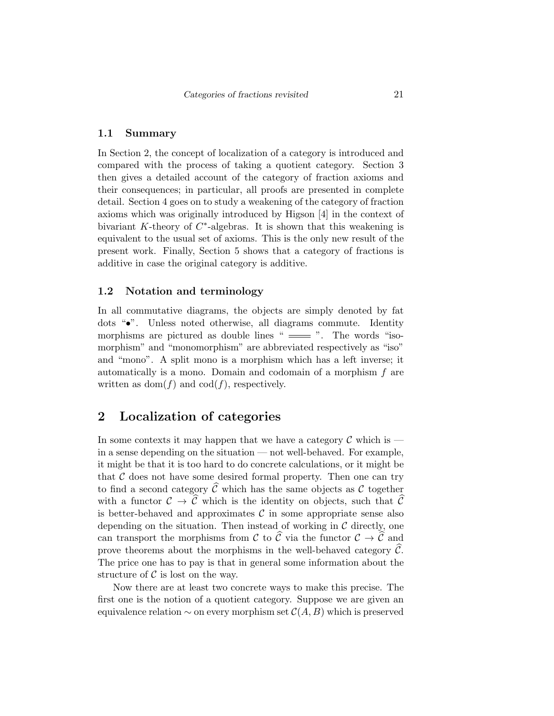#### 1.1 Summary

In Section 2, the concept of localization of a category is introduced and compared with the process of taking a quotient category. Section 3 then gives a detailed account of the category of fraction axioms and their consequences; in particular, all proofs are presented in complete detail. Section 4 goes on to study a weakening of the category of fraction axioms which was originally introduced by Higson [4] in the context of bivariant  $K$ -theory of  $C^*$ -algebras. It is shown that this weakening is equivalent to the usual set of axioms. This is the only new result of the present work. Finally, Section 5 shows that a category of fractions is additive in case the original category is additive.

#### 1.2 Notation and terminology

In all commutative diagrams, the objects are simply denoted by fat dots "•". Unless noted otherwise, all diagrams commute. Identity morphisms are pictured as double lines " $\equiv$ ". The words "isomorphism" and "monomorphism" are abbreviated respectively as "iso" and "mono". A split mono is a morphism which has a left inverse; it automatically is a mono. Domain and codomain of a morphism f are written as  $dom(f)$  and  $cod(f)$ , respectively.

## 2 Localization of categories

In some contexts it may happen that we have a category  $\mathcal C$  which is in a sense depending on the situation — not well-behaved. For example, it might be that it is too hard to do concrete calculations, or it might be that  $C$  does not have some desired formal property. Then one can try to find a second category  $\widehat{\mathcal{C}}$  which has the same objects as C together with a functor  $\mathcal{C} \to \widehat{\mathcal{C}}$  which is the identity on objects, such that  $\widehat{\mathcal{C}}$ is better-behaved and approximates  $\mathcal C$  in some appropriate sense also depending on the situation. Then instead of working in  $\mathcal C$  directly, one can transport the morphisms from C to  $\hat{\mathcal{C}}$  via the functor  $\mathcal{C} \to \hat{\mathcal{C}}$  and prove theorems about the morphisms in the well-behaved category  $\mathcal{C}$ . The price one has to pay is that in general some information about the structure of  $\mathcal C$  is lost on the way.

Now there are at least two concrete ways to make this precise. The first one is the notion of a quotient category. Suppose we are given an equivalence relation  $\sim$  on every morphism set  $\mathcal{C}(A, B)$  which is preserved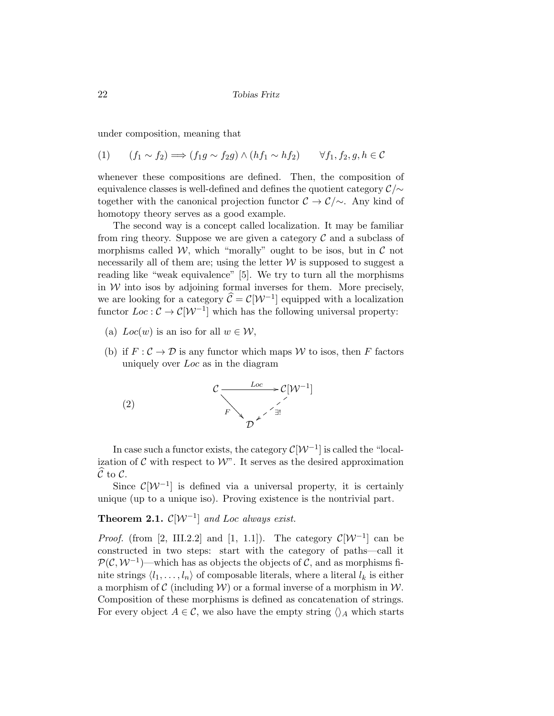under composition, meaning that

$$
(1) \qquad (f_1 \sim f_2) \Longrightarrow (f_1g \sim f_2g) \land (hf_1 \sim hf_2) \qquad \forall f_1, f_2, g, h \in \mathcal{C}
$$

whenever these compositions are defined. Then, the composition of equivalence classes is well-defined and defines the quotient category  $\mathcal{C}\prime\sim$ together with the canonical projection functor  $\mathcal{C} \to \mathcal{C}/\sim$ . Any kind of homotopy theory serves as a good example.

The second way is a concept called localization. It may be familiar from ring theory. Suppose we are given a category  $\mathcal C$  and a subclass of morphisms called W, which "morally" ought to be isos, but in  $\mathcal C$  not necessarily all of them are; using the letter  $W$  is supposed to suggest a reading like "weak equivalence" [5]. We try to turn all the morphisms in  $W$  into isos by adjoining formal inverses for them. More precisely, we are looking for a category  $\hat{\mathcal{C}} = \mathcal{C}[\mathcal{W}^{-1}]$  equipped with a localization functor  $Loc: \mathcal{C} \to \mathcal{C}[\mathcal{W}^{-1}]$  which has the following universal property:

- (a)  $Loc(w)$  is an iso for all  $w \in \mathcal{W}$ ,
- (b) if  $F: \mathcal{C} \to \mathcal{D}$  is any functor which maps W to isos, then F factors uniquely over Loc as in the diagram



In case such a functor exists, the category  $\mathcal{C}[\mathcal{W}^{-1}]$  is called the "localization of  $\mathcal C$  with respect to  $\mathcal W$ ". It serves as the desired approximation  $\widehat{C}$  to  $C$ .

Since  $\mathcal{C}[\mathcal{W}^{-1}]$  is defined via a universal property, it is certainly unique (up to a unique iso). Proving existence is the nontrivial part.

## **Theorem 2.1.**  $\mathcal{C}[\mathcal{W}^{-1}]$  and Loc always exist.

*Proof.* (from [2, III.2.2] and [1, 1.1]). The category  $\mathcal{C}[\mathcal{W}^{-1}]$  can be constructed in two steps: start with the category of paths—call it  $\mathcal{P}(\mathcal{C}, \mathcal{W}^{-1})$ —which has as objects the objects of  $\mathcal{C}$ , and as morphisms finite strings  $\langle l_1, \ldots, l_n \rangle$  of composable literals, where a literal  $l_k$  is either a morphism of C (including  $W$ ) or a formal inverse of a morphism in W. Composition of these morphisms is defined as concatenation of strings. For every object  $A \in \mathcal{C}$ , we also have the empty string  $\langle \rangle_A$  which starts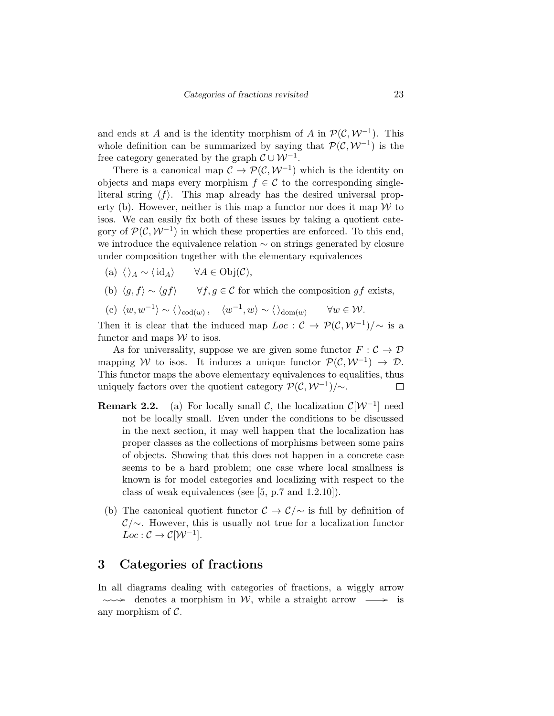and ends at A and is the identity morphism of A in  $\mathcal{P}(\mathcal{C}, \mathcal{W}^{-1})$ . This whole definition can be summarized by saying that  $\mathcal{P}(\mathcal{C}, \mathcal{W}^{-1})$  is the free category generated by the graph  $\mathcal{C} \cup \mathcal{W}^{-1}$ .

There is a canonical map  $\mathcal{C} \to \mathcal{P}(\mathcal{C}, \mathcal{W}^{-1})$  which is the identity on objects and maps every morphism  $f \in \mathcal{C}$  to the corresponding singleliteral string  $\langle f \rangle$ . This map already has the desired universal property (b). However, neither is this map a functor nor does it map  $W$  to isos. We can easily fix both of these issues by taking a quotient category of  $\mathcal{P}(\mathcal{C}, \mathcal{W}^{-1})$  in which these properties are enforced. To this end, we introduce the equivalence relation ∼ on strings generated by closure under composition together with the elementary equivalences

- (a)  $\langle \rangle_A \sim \langle id_A \rangle$   $\forall A \in Obj(\mathcal{C}),$
- (b)  $\langle q, f \rangle \sim \langle gf \rangle$   $\forall f, g \in \mathcal{C}$  for which the composition gf exists,
- (c)  $\langle w, w^{-1} \rangle \sim \langle \rangle_{\text{cod}(w)}, \quad \langle w^{-1}, w \rangle \sim \langle \rangle_{\text{dom}(w)} \qquad \forall w \in \mathcal{W}.$

Then it is clear that the induced map  $Loc: \mathcal{C} \to \mathcal{P}(\mathcal{C}, \mathcal{W}^{-1})/\sim$  is a functor and maps  $W$  to isos.

As for universality, suppose we are given some functor  $F : \mathcal{C} \to \mathcal{D}$ mapping W to isos. It induces a unique functor  $\mathcal{P}(\mathcal{C}, \mathcal{W}^{-1}) \to \mathcal{D}$ . This functor maps the above elementary equivalences to equalities, thus uniquely factors over the quotient category  $\mathcal{P}(\mathcal{C}, \mathcal{W}^{-1})/\sim$ .  $\Box$ 

- **Remark 2.2.** (a) For locally small C, the localization  $\mathcal{C}[\mathcal{W}^{-1}]$  need not be locally small. Even under the conditions to be discussed in the next section, it may well happen that the localization has proper classes as the collections of morphisms between some pairs of objects. Showing that this does not happen in a concrete case seems to be a hard problem; one case where local smallness is known is for model categories and localizing with respect to the class of weak equivalences (see [5, p.7 and 1.2.10]).
- (b) The canonical quotient functor  $\mathcal{C} \to \mathcal{C}/\sim$  is full by definition of  $\mathcal{C}\sim$ . However, this is usually not true for a localization functor  $Loc: \mathcal{C} \to \mathcal{C}[\mathcal{W}^{-1}].$

## 3 Categories of fractions

In all diagrams dealing with categories of fractions, a wiggly arrow  $\sim$  denotes a morphism in W, while a straight arrow  $\rightarrow$  is any morphism of  $C$ .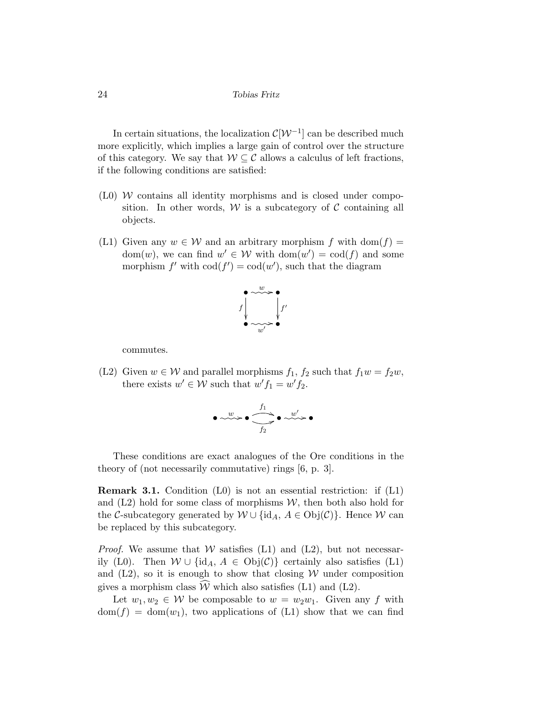In certain situations, the localization  $\mathcal{C}[\mathcal{W}^{-1}]$  can be described much more explicitly, which implies a large gain of control over the structure of this category. We say that  $W \subseteq \mathcal{C}$  allows a calculus of left fractions, if the following conditions are satisfied:

- $(10)$  W contains all identity morphisms and is closed under composition. In other words,  $W$  is a subcategory of  $C$  containing all objects.
- (L1) Given any  $w \in W$  and an arbitrary morphism f with dom(f) = dom $(w)$ , we can find  $w' \in W$  with  $dom(w') = cod(f)$  and some morphism  $f'$  with  $\text{cod}(f') = \text{cod}(w')$ , such that the diagram



commutes.

(L2) Given  $w \in \mathcal{W}$  and parallel morphisms  $f_1, f_2$  such that  $f_1w = f_2w$ , there exists  $w' \in W$  such that  $w' f_1 = w' f_2$ .



These conditions are exact analogues of the Ore conditions in the theory of (not necessarily commutative) rings [6, p. 3].

**Remark 3.1.** Condition  $(L0)$  is not an essential restriction: if  $(L1)$ and  $(L2)$  hold for some class of morphisms  $W$ , then both also hold for the C-subcategory generated by  $W \cup \{id_A, A \in Obj(\mathcal{C})\}$ . Hence W can be replaced by this subcategory.

*Proof.* We assume that W satisfies (L1) and (L2), but not necessarily (L0). Then  $W \cup \{id_A, A \in Obj(\mathcal{C})\}$  certainly also satisfies (L1) and  $(L2)$ , so it is enough to show that closing W under composition gives a morphism class  $\widehat{W}$  which also satisfies (L1) and (L2).

Let  $w_1, w_2 \in \mathcal{W}$  be composable to  $w = w_2w_1$ . Given any f with  $dom(f) = dom(w_1)$ , two applications of (L1) show that we can find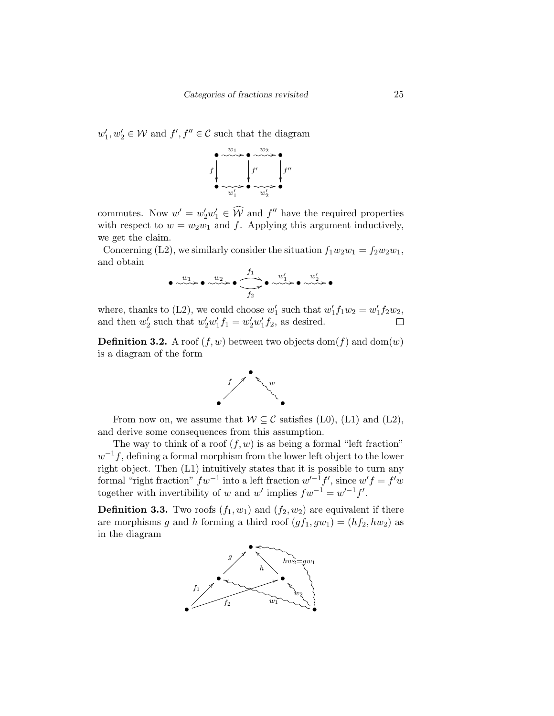$w'_1, w'_2 \in \mathcal{W}$  and  $f', f'' \in \mathcal{C}$  such that the diagram



commutes. Now  $w' = w'_2 w'_1 \in \widehat{\mathcal{W}}$  and  $f''$  have the required properties with respect to  $w = w_2w_1$  and f. Applying this argument inductively, we get the claim.

Concerning (L2), we similarly consider the situation  $f_1w_2w_1 = f_2w_2w_1$ , and obtain

$$
\bullet \longrightarrow^w1 \rightarrow \bullet \longrightarrow^w2 \rightarrow \bullet \longrightarrow^{\text{f1}} \bullet \longrightarrow^w1 \rightarrow \bullet \longrightarrow^w2 \rightarrow \bullet
$$

where, thanks to (L2), we could choose  $w'_1$  such that  $w'_1 f_1 w_2 = w'_1 f_2 w_2$ , and then  $w'_2$  such that  $w'_2w'_1f_1 = w'_2w'_1f_2$ , as desired.  $\Box$ 

**Definition 3.2.** A roof  $(f, w)$  between two objects dom $(f)$  and dom $(w)$ is a diagram of the form



From now on, we assume that  $W \subset \mathcal{C}$  satisfies (L0), (L1) and (L2), and derive some consequences from this assumption.

The way to think of a roof  $(f, w)$  is as being a formal "left fraction"  $w^{-1}f$ , defining a formal morphism from the lower left object to the lower right object. Then (L1) intuitively states that it is possible to turn any formal "right fraction"  $fw^{-1}$  into a left fraction  $w'^{-1}f'$ , since  $w'f = f'w$ together with invertibility of w and w' implies  $fw^{-1} = w'^{-1}f'$ .

**Definition 3.3.** Two roofs  $(f_1, w_1)$  and  $(f_2, w_2)$  are equivalent if there are morphisms g and h forming a third roof  $(gf_1, gw_1) = (hf_2, hw_2)$  as in the diagram

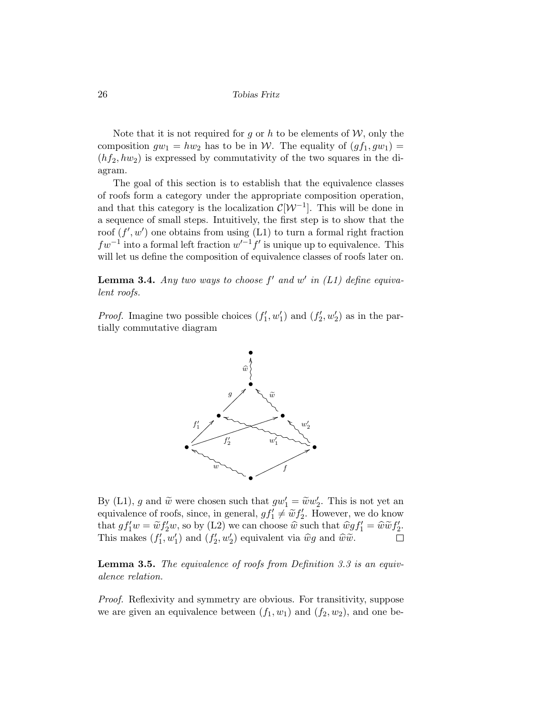Note that it is not required for g or h to be elements of  $W$ , only the composition  $gw_1 = hw_2$  has to be in W. The equality of  $(gf_1, gw_1)$  =  $(hf_2, hw_2)$  is expressed by commutativity of the two squares in the diagram.

The goal of this section is to establish that the equivalence classes of roofs form a category under the appropriate composition operation, and that this category is the localization  $\mathcal{C}[\mathcal{W}^{-1}]$ . This will be done in a sequence of small steps. Intuitively, the first step is to show that the roof  $(f', w')$  one obtains from using  $(L1)$  to turn a formal right fraction  $fw^{-1}$  into a formal left fraction  $w'^{-1}f'$  is unique up to equivalence. This will let us define the composition of equivalence classes of roofs later on.

**Lemma 3.4.** Any two ways to choose  $f'$  and  $w'$  in (L1) define equivalent roofs.

*Proof.* Imagine two possible choices  $(f'_1, w'_1)$  and  $(f'_2, w'_2)$  as in the partially commutative diagram



By (L1), g and  $\tilde{w}$  were chosen such that  $gw'_1 = \tilde{w}w'_2$ . This is not yet an equivalence of roofs since in general  $g f' \neq \tilde{w} f'$ . However, we do know equivalence of roofs, since, in general,  $gf'_1 \neq \tilde{w} f'_2$ . However, we do know that  $gf'_1w = \tilde{w}f'_2w$ , so by (L2) we can choose  $\hat{w}$  such that  $\hat{w}gf'_1 = \hat{w}\tilde{w}f'_2$ .<br>This makes  $(f', w')$  and  $(f', w')$  equivalent ria  $\hat{w}$  and  $\hat{w}\tilde{w}$ . This makes  $(f'_1, w'_1)$  and  $(f'_2, w'_2)$  equivalent via  $\hat{w}g$  and  $\hat{w}\tilde{w}$ .

**Lemma 3.5.** The equivalence of roofs from Definition 3.3 is an equivalence relation.

Proof. Reflexivity and symmetry are obvious. For transitivity, suppose we are given an equivalence between  $(f_1, w_1)$  and  $(f_2, w_2)$ , and one be-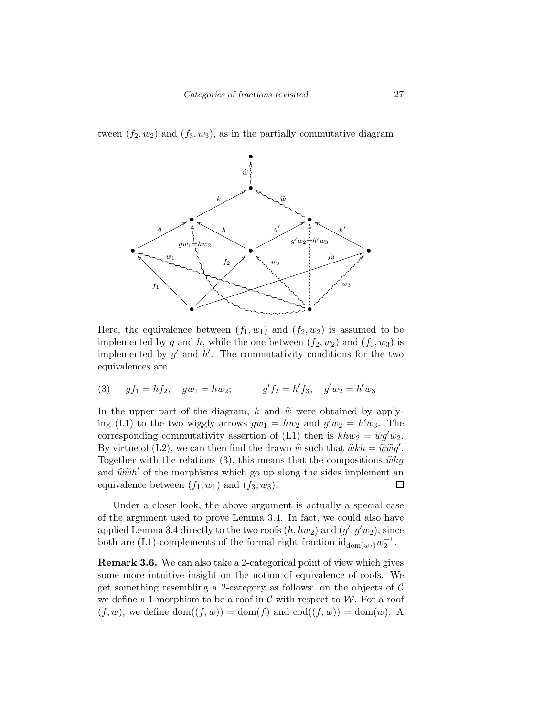tween  $(f_2, w_2)$  and  $(f_3, w_3)$ , as in the partially commutative diagram



Here, the equivalence between  $(f_1, w_1)$  and  $(f_2, w_2)$  is assumed to be implemented by g and h, while the one between  $(f_2, w_2)$  and  $(f_3, w_3)$  is implemented by  $g'$  and  $h'$ . The commutativity conditions for the two equivalences are

(3) 
$$
gf_1 = hf_2
$$
,  $gw_1 = hw_2$ ;  $g'f_2 = h'f_3$ ,  $g'w_2 = h'w_3$ 

In the upper part of the diagram, k and  $\tilde{w}$  were obtained by applying (L1) to the two wiggly arrows  $gw_1 = hw_2$  and  $g'w_2 = h'w_3$ . The corresponding commutativity assertion of (L1) then is  $khw_2 = \tilde{w}g'w_2$ .<br>By virtue of (L2), we can then find the drawn  $\hat{w}$  web that  $\hat{w}^{th} = \hat{w}\tilde{w}^{cl}$ . By virtue of (L2), we can then find the drawn  $\hat{w}$  such that  $\hat{w}kh = \hat{w}\tilde{w}g'$ .<br>Together with the relations (2) this means that the compositions  $\hat{w}$  has Together with the relations (3), this means that the compositions  $\hat{w}kg$ and  $\hat{w}\tilde{w}h'$  of the morphisms which go up along the sides implement an equivalence between  $(f, w_1)$  and  $(f, w_2)$ equivalence between  $(f_1, w_1)$  and  $(f_3, w_3)$ .  $\Box$ 

Under a closer look, the above argument is actually a special case of the argument used to prove Lemma 3.4. In fact, we could also have applied Lemma 3.4 directly to the two roofs  $(h, hw_2)$  and  $(g', g'w_2)$ , since both are (L1)-complements of the formal right fraction  $\mathrm{id}_{\mathrm{dom}(w_2)} w_2^{-1}$ .

Remark 3.6. We can also take a 2-categorical point of view which gives some more intuitive insight on the notion of equivalence of roofs. We get something resembling a 2-category as follows: on the objects of  $C$ we define a 1-morphism to be a roof in  $\mathcal C$  with respect to  $\mathcal W$ . For a roof  $(f, w)$ , we define  $dom((f, w)) = dom(f)$  and  $cod((f, w)) = dom(w)$ . A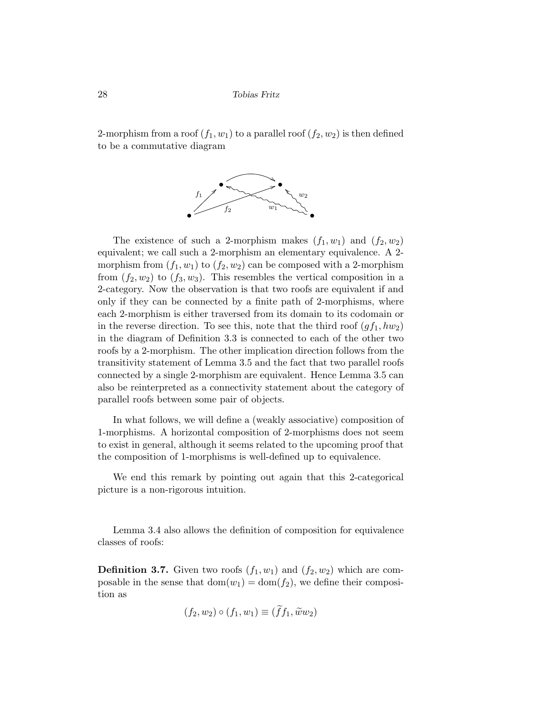2-morphism from a roof  $(f_1, w_1)$  to a parallel roof  $(f_2, w_2)$  is then defined to be a commutative diagram



The existence of such a 2-morphism makes  $(f_1, w_1)$  and  $(f_2, w_2)$ equivalent; we call such a 2-morphism an elementary equivalence. A 2 morphism from  $(f_1, w_1)$  to  $(f_2, w_2)$  can be composed with a 2-morphism from  $(f_2, w_2)$  to  $(f_3, w_3)$ . This resembles the vertical composition in a 2-category. Now the observation is that two roofs are equivalent if and only if they can be connected by a finite path of 2-morphisms, where each 2-morphism is either traversed from its domain to its codomain or in the reverse direction. To see this, note that the third roof  $(gf_1, hw_2)$ in the diagram of Definition 3.3 is connected to each of the other two roofs by a 2-morphism. The other implication direction follows from the transitivity statement of Lemma 3.5 and the fact that two parallel roofs connected by a single 2-morphism are equivalent. Hence Lemma 3.5 can also be reinterpreted as a connectivity statement about the category of parallel roofs between some pair of objects.

In what follows, we will define a (weakly associative) composition of 1-morphisms. A horizontal composition of 2-morphisms does not seem to exist in general, although it seems related to the upcoming proof that the composition of 1-morphisms is well-defined up to equivalence.

We end this remark by pointing out again that this 2-categorical picture is a non-rigorous intuition.

Lemma 3.4 also allows the definition of composition for equivalence classes of roofs:

**Definition 3.7.** Given two roofs  $(f_1, w_1)$  and  $(f_2, w_2)$  which are composable in the sense that  $dom(w_1) = dom(f_2)$ , we define their composition as

$$
(f_2, w_2) \circ (f_1, w_1) \equiv (\tilde{f}f_1, \tilde{w}w_2)
$$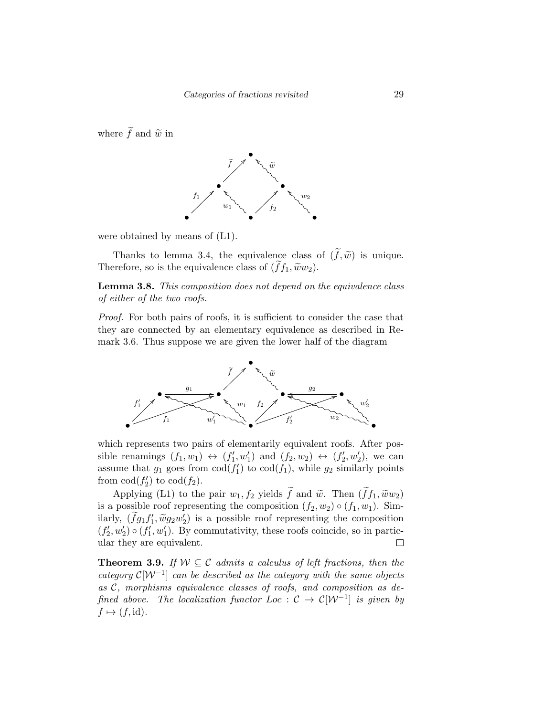where  $\tilde{f}$  and  $\tilde{w}$  in



were obtained by means of (L1).

Thanks to lemma 3.4, the equivalence class of  $(\tilde{f}, \tilde{w})$  is unique. Therefore, so is the equivalence class of  $(f_1, \tilde{w}w_2)$ .

Lemma 3.8. This composition does not depend on the equivalence class of either of the two roofs.

Proof. For both pairs of roofs, it is sufficient to consider the case that they are connected by an elementary equivalence as described in Remark 3.6. Thus suppose we are given the lower half of the diagram



which represents two pairs of elementarily equivalent roofs. After possible renamings  $(f_1, w_1) \leftrightarrow (f'_1, w'_1)$  and  $(f_2, w_2) \leftrightarrow (f'_2, w'_2)$ , we can assume that  $g_1$  goes from  $\text{cod}(f'_1)$  to  $\text{cod}(f_1)$ , while  $g_2$  similarly points from  $\text{cod}(f_2')$  to  $\text{cod}(f_2)$ .

Applying (L1) to the pair  $w_1, f_2$  yields  $\tilde{f}$  and  $\tilde{w}$ . Then  $(\tilde{f}f_1, \tilde{w}w_2)$ is a possible roof representing the composition  $(f_2, w_2) \circ (f_1, w_1)$ . Similarly,  $(\tilde{f}g_1f'_1, \tilde{w}g_2w'_2)$  is a possible roof representing the composition  $(f'_2, w'_2) \circ (f'_1, w'_1)$ . By commutativity, these roofs coincide, so in particular they are equivalent.  $\Box$ 

**Theorem 3.9.** If  $W \subseteq \mathcal{C}$  admits a calculus of left fractions, then the category  $\mathcal{C}[\mathcal{W}^{-1}]$  can be described as the category with the same objects as C, morphisms equivalence classes of roofs, and composition as defined above. The localization functor Loc :  $\mathcal{C} \to \mathcal{C}[\mathcal{W}^{-1}]$  is given by  $f \mapsto (f, id).$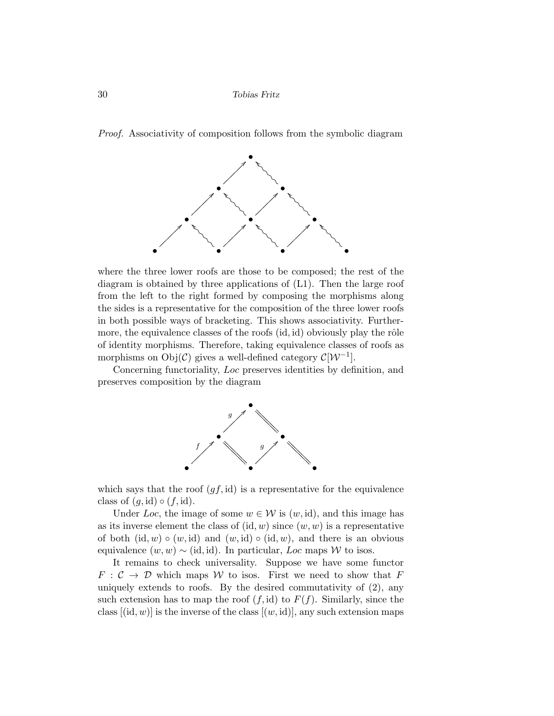Proof. Associativity of composition follows from the symbolic diagram



where the three lower roofs are those to be composed; the rest of the diagram is obtained by three applications of (L1). Then the large roof from the left to the right formed by composing the morphisms along the sides is a representative for the composition of the three lower roofs in both possible ways of bracketing. This shows associativity. Furthermore, the equivalence classes of the roofs  $(id, id)$  obviously play the rôle of identity morphisms. Therefore, taking equivalence classes of roofs as morphisms on  $Obj(\mathcal{C})$  gives a well-defined category  $\mathcal{C}[\mathcal{W}^{-1}]$ .

Concerning functoriality, Loc preserves identities by definition, and preserves composition by the diagram



which says that the roof  $(gf, id)$  is a representative for the equivalence class of  $(g, id) \circ (f, id)$ .

Under Loc, the image of some  $w \in \mathcal{W}$  is  $(w, id)$ , and this image has as its inverse element the class of  $(id, w)$  since  $(w, w)$  is a representative of both  $(id, w) \circ (w, id)$  and  $(w, id) \circ (id, w)$ , and there is an obvious equivalence  $(w, w) \sim (id, id)$ . In particular, Loc maps W to isos.

It remains to check universality. Suppose we have some functor  $F: \mathcal{C} \to \mathcal{D}$  which maps W to isos. First we need to show that F uniquely extends to roofs. By the desired commutativity of (2), any such extension has to map the roof  $(f, id)$  to  $F(f)$ . Similarly, since the class  $[(id, w)]$  is the inverse of the class  $[(w, id)]$ , any such extension maps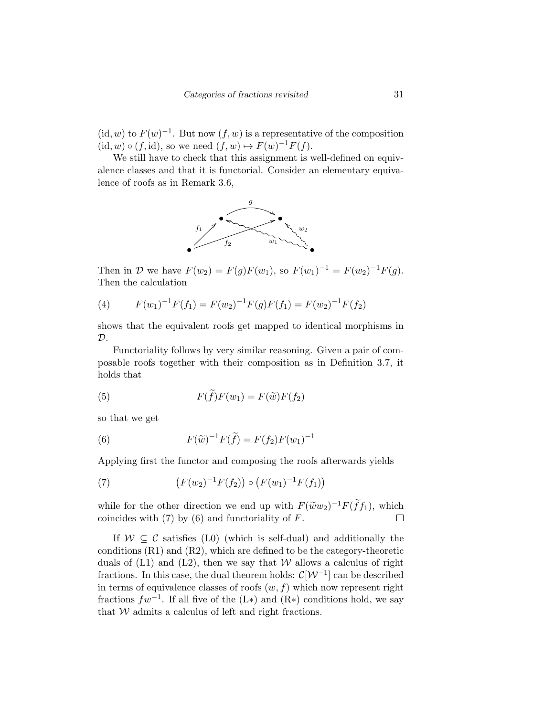$(id, w)$  to  $F(w)^{-1}$ . But now  $(f, w)$  is a representative of the composition  $(id, w) \circ (f, id)$ , so we need  $(f, w) \mapsto F(w)^{-1}F(f)$ .

We still have to check that this assignment is well-defined on equivalence classes and that it is functorial. Consider an elementary equivalence of roofs as in Remark 3.6,



Then in D we have  $F(w_2) = F(g)F(w_1)$ , so  $F(w_1)^{-1} = F(w_2)^{-1}F(g)$ . Then the calculation

(4) 
$$
F(w_1)^{-1}F(f_1) = F(w_2)^{-1}F(g)F(f_1) = F(w_2)^{-1}F(f_2)
$$

shows that the equivalent roofs get mapped to identical morphisms in  $\mathcal{D}.$ 

Functoriality follows by very similar reasoning. Given a pair of composable roofs together with their composition as in Definition 3.7, it holds that

(5) 
$$
F(f)F(w_1) = F(\widetilde{w})F(f_2)
$$

so that we get

(6) 
$$
F(\tilde{w})^{-1}F(\tilde{f}) = F(f_2)F(w_1)^{-1}
$$

Applying first the functor and composing the roofs afterwards yields

(7) 
$$
(F(w_2)^{-1}F(f_2)) \circ (F(w_1)^{-1}F(f_1))
$$

while for the other direction we end up with  $F(\tilde{w}w_2)^{-1}F(\tilde{f}f_1)$ , which coincides with (7) by (6) and functoriality of  $F$ coincides with  $(7)$  by  $(6)$  and functoriality of  $F$ .

If  $W \subset \mathcal{C}$  satisfies (L0) (which is self-dual) and additionally the conditions (R1) and (R2), which are defined to be the category-theoretic duals of  $(L1)$  and  $(L2)$ , then we say that W allows a calculus of right fractions. In this case, the dual theorem holds:  $\mathcal{C}[\mathcal{W}^{-1}]$  can be described in terms of equivalence classes of roofs  $(w, f)$  which now represent right fractions  $fw^{-1}$ . If all five of the (L\*) and (R\*) conditions hold, we say that  $W$  admits a calculus of left and right fractions.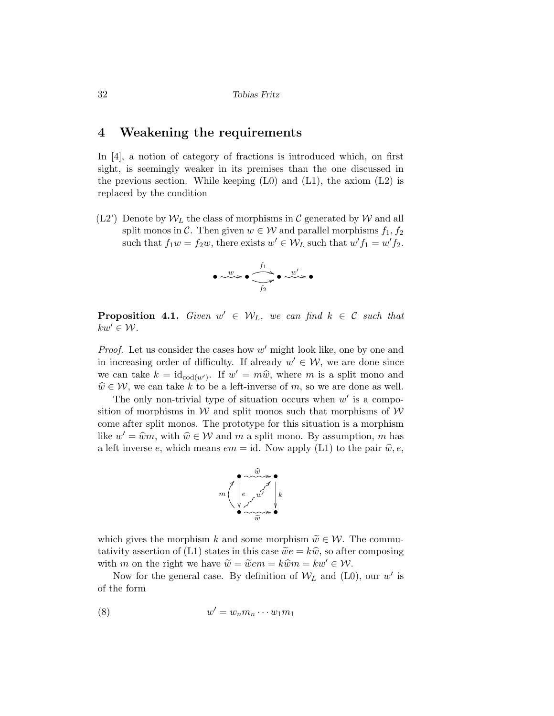## 4 Weakening the requirements

In [4], a notion of category of fractions is introduced which, on first sight, is seemingly weaker in its premises than the one discussed in the previous section. While keeping  $(L0)$  and  $(L1)$ , the axiom  $(L2)$  is replaced by the condition

 $(L2')$  Denote by  $W_L$  the class of morphisms in C generated by W and all split monos in C. Then given  $w \in \mathcal{W}$  and parallel morphisms  $f_1, f_2$ such that  $f_1w = f_2w$ , there exists  $w' \in W_L$  such that  $w' f_1 = w' f_2$ .



**Proposition 4.1.** Given  $w' \in W_L$ , we can find  $k \in \mathcal{C}$  such that  $kw' \in \mathcal{W}$ .

*Proof.* Let us consider the cases how  $w'$  might look like, one by one and in increasing order of difficulty. If already  $w' \in \mathcal{W}$ , we are done since we can take  $k = id_{\text{cod}(w')}$ . If  $w' = m\hat{w}$ , where m is a split mono and  $\hat{w} \in \mathcal{W}$  we can take k to be a left inverse of m so we are done as well.  $\widehat{w} \in \mathcal{W}$ , we can take k to be a left-inverse of m, so we are done as well.

The only non-trivial type of situation occurs when  $w'$  is a composition of morphisms in  $W$  and split monos such that morphisms of  $W$ come after split monos. The prototype for this situation is a morphism like  $w' = \hat{w}m$ , with  $\hat{w} \in \mathcal{W}$  and m a split mono. By assumption, m has a left inverse e, which means  $em = id$ . Now apply (L1) to the pair  $\hat{w}, e$ ,



which gives the morphism k and some morphism  $\widetilde{w} \in \mathcal{W}$ . The commutativity assertion of (L1) states in this case  $\tilde{w}e = k\hat{w}$ , so after composing with m on the right we have  $\widetilde{w} = \widetilde{w}em = k\widehat{w}m = kw' \in \mathcal{W}$ .

Now for the general case. By definition of  $W_L$  and (L0), our w' is of the form

$$
(8) \t\t w' = w_n m_n \cdots w_1 m_1
$$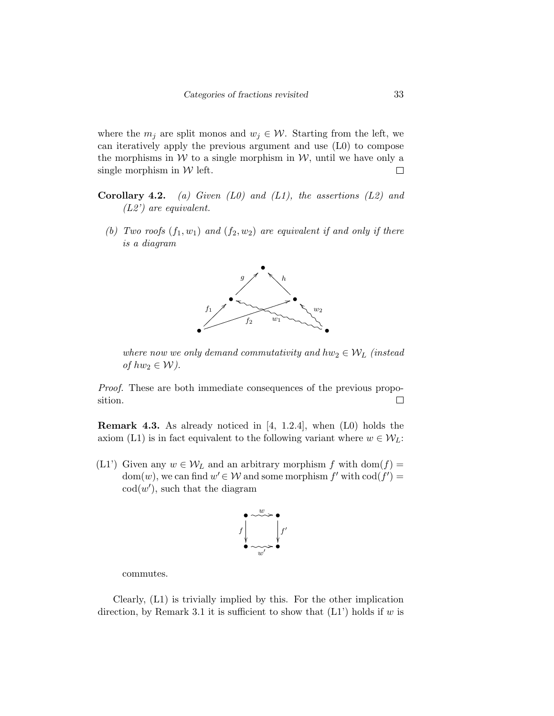where the  $m_j$  are split monos and  $w_j \in \mathcal{W}$ . Starting from the left, we can iteratively apply the previous argument and use (L0) to compose the morphisms in  $W$  to a single morphism in  $W$ , until we have only a single morphism in  $W$  left.  $\Box$ 

- **Corollary 4.2.** (a) Given  $(L0)$  and  $(L1)$ , the assertions  $(L2)$  and (L2') are equivalent.
	- (b) Two roofs  $(f_1, w_1)$  and  $(f_2, w_2)$  are equivalent if and only if there is a diagram



where now we only demand commutativity and  $hw_2 \in \mathcal{W}_L$  (instead of  $hw_2 \in \mathcal{W}$ ).

Proof. These are both immediate consequences of the previous proposition.  $\Box$ 

Remark 4.3. As already noticed in [4, 1.2.4], when (L0) holds the axiom (L1) is in fact equivalent to the following variant where  $w \in \mathcal{W}_L$ :

(L1') Given any  $w \in \mathcal{W}_L$  and an arbitrary morphism f with dom(f) =  $dom(w)$ , we can find  $w' \in \mathcal{W}$  and some morphism  $f'$  with  $cod(f') =$  $\text{cod}(w')$ , such that the diagram



commutes.

Clearly, (L1) is trivially implied by this. For the other implication direction, by Remark 3.1 it is sufficient to show that  $(L1)$  holds if w is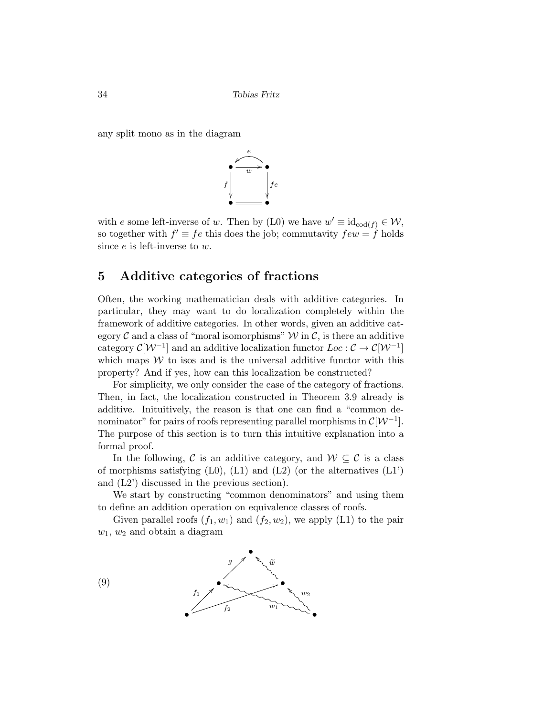any split mono as in the diagram



with e some left-inverse of w. Then by (L0) we have  $w' \equiv id_{\text{cod}(f)} \in \mathcal{W}$ , so together with  $f' \equiv fe$  this does the job; commutavity  $few = f$  holds since  $e$  is left-inverse to  $w$ .

# 5 Additive categories of fractions

Often, the working mathematician deals with additive categories. In particular, they may want to do localization completely within the framework of additive categories. In other words, given an additive category  $\mathcal C$  and a class of "moral isomorphisms"  $\mathcal W$  in  $\mathcal C$ , is there an additive category  $\mathcal{C}[\mathcal{W}^{-1}]$  and an additive localization functor  $Loc: \mathcal{C} \to \mathcal{C}[\mathcal{W}^{-1}]$ which maps  $W$  to isos and is the universal additive functor with this property? And if yes, how can this localization be constructed?

For simplicity, we only consider the case of the category of fractions. Then, in fact, the localization constructed in Theorem 3.9 already is additive. Inituitively, the reason is that one can find a "common denominator" for pairs of roofs representing parallel morphisms in  $\mathcal{C}[\mathcal{W}^{-1}]$ . The purpose of this section is to turn this intuitive explanation into a formal proof.

In the following, C is an additive category, and  $W \subseteq \mathcal{C}$  is a class of morphisms satisfying  $(L0)$ ,  $(L1)$  and  $(L2)$  (or the alternatives  $(L1')$ ) and (L2') discussed in the previous section).

We start by constructing "common denominators" and using them to define an addition operation on equivalence classes of roofs.

Given parallel roofs  $(f_1, w_1)$  and  $(f_2, w_2)$ , we apply  $(L1)$  to the pair  $w_1, w_2$  and obtain a diagram

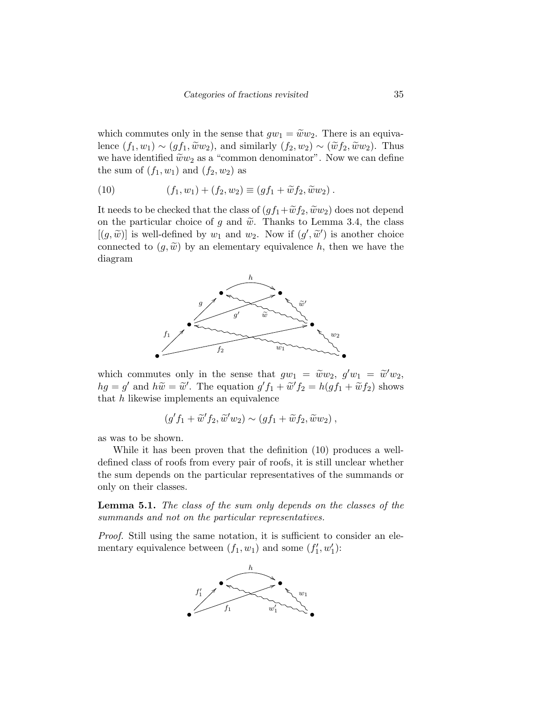which commutes only in the sense that  $gw_1 = \tilde{w}w_2$ . There is an equivalence  $(f_1, w_1) \sim (gf_1, \widetilde{w}w_2)$ , and similarly  $(f_2, w_2) \sim (\widetilde{w}f_2, \widetilde{w}w_2)$ . Thus we have identified  $\tilde{w}w_2$  as a "common denominator". Now we can define the sum of  $(f_1, w_1)$  and  $(f_2, w_2)$  as

(10) 
$$
(f_1, w_1) + (f_2, w_2) \equiv (gf_1 + \widetilde{w}f_2, \widetilde{w}w_2).
$$

It needs to be checked that the class of  $(gf_1+\widetilde{w}f_2, \widetilde{w}w_2)$  does not depend on the particular choice of g and  $\tilde{w}$ . Thanks to Lemma 3.4, the class  $[(g, \tilde{w})]$  is well-defined by  $w_1$  and  $w_2$ . Now if  $(g', \tilde{w}')$  is another choice connected to  $(g, \tilde{w})$  by an elementary equivalence h, then we have the diagram



which commutes only in the sense that  $gw_1 = \tilde{w}w_2$ ,  $g'w_1 = \tilde{w}'w_2$ ,<br>  $g' = \tilde{w}'$  and  $h\tilde{w} = \tilde{w}'$ . The counting  $g'f_1 + \tilde{w}'f_2 = h(gf_1 + \tilde{w}'f_2)$  above  $hg = g'$  and  $h\widetilde{w} = \widetilde{w}'$ . The equation  $g' f_1 + \widetilde{w}' f_2 = h(gf_1 + \widetilde{w}f_2)$  shows that  $h$  likewise implements an equivalence

$$
(g'f_1 + \widetilde{w}'f_2, \widetilde{w}'w_2) \sim (gf_1 + \widetilde{w}f_2, \widetilde{w}w_2),
$$

as was to be shown.

While it has been proven that the definition (10) produces a welldefined class of roofs from every pair of roofs, it is still unclear whether the sum depends on the particular representatives of the summands or only on their classes.

**Lemma 5.1.** The class of the sum only depends on the classes of the summands and not on the particular representatives.

Proof. Still using the same notation, it is sufficient to consider an elementary equivalence between  $(f_1, w_1)$  and some  $(f'_1, w'_1)$ :

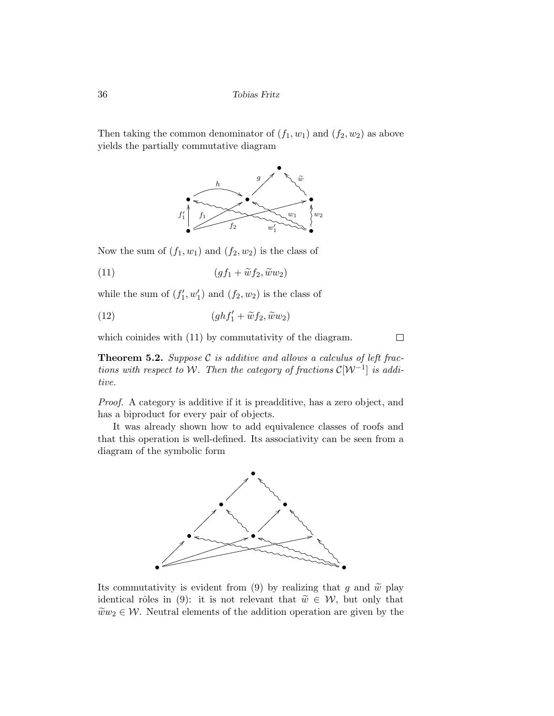Then taking the common denominator of  $(f_1, w_1)$  and  $(f_2, w_2)$  as above yields the partially commutative diagram



Now the sum of  $(f_1, w_1)$  and  $(f_2, w_2)$  is the class of

$$
(11) \qquad \qquad (gf_1 + \widetilde{w}f_2, \widetilde{w}w_2)
$$

while the sum of  $(f'_1, w'_1)$  and  $(f_2, w_2)$  is the class of

(12) 
$$
(ghf'_1 + \widetilde{w}f_2, \widetilde{w}w_2)
$$

which coinides with  $(11)$  by commutativity of the diagram.

**Theorem 5.2.** Suppose  $C$  is additive and allows a calculus of left fractions with respect to W. Then the category of fractions  $\mathcal{C}[\mathcal{W}^{-1}]$  is additive.

 $\Box$ 

Proof. A category is additive if it is preadditive, has a zero object, and has a biproduct for every pair of objects.

It was already shown how to add equivalence classes of roofs and that this operation is well-defined. Its associativity can be seen from a diagram of the symbolic form



Its commutativity is evident from (9) by realizing that g and  $\tilde{w}$  play identical rôles in (9): it is not relevant that  $\tilde{w} \in \mathcal{W}$ , but only that  $\tilde{w}w_2 \in \mathcal{W}$ . Neutral elements of the addition operation are given by the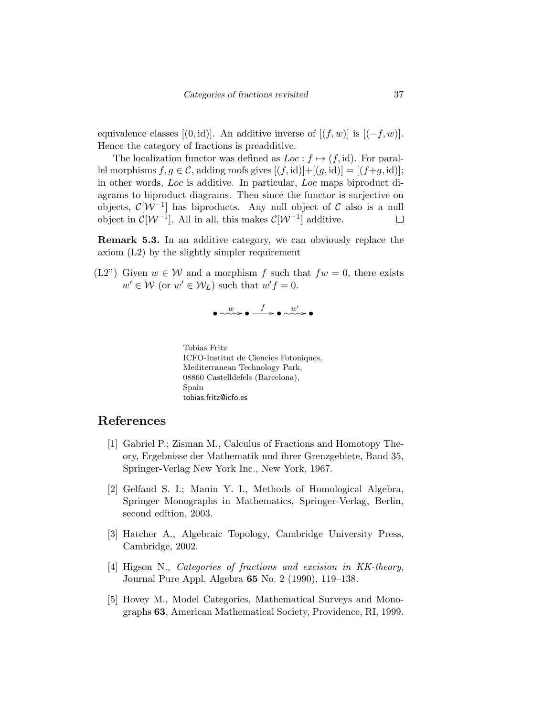equivalence classes  $[(0, id)]$ . An additive inverse of  $[(f, w)]$  is  $[(-f, w)]$ . Hence the category of fractions is preadditive.

The localization functor was defined as  $Loc : f \mapsto (f, id)$ . For parallel morphisms  $f, g \in \mathcal{C}$ , adding roofs gives  $[(f, id)] + [(g, id)] = [(f+g, id)]$ ; in other words, Loc is additive. In particular, Loc maps biproduct diagrams to biproduct diagrams. Then since the functor is surjective on objects,  $\mathcal{C}[\mathcal{W}^{-1}]$  has biproducts. Any null object of  $\mathcal C$  also is a null object in  $\mathcal{C}[\mathcal{W}^{-1}]$ . All in all, this makes  $\mathcal{C}[\mathcal{W}^{-1}]$  additive.  $\Box$ 

Remark 5.3. In an additive category, we can obviously replace the axiom (L2) by the slightly simpler requirement

(L2") Given  $w \in \mathcal{W}$  and a morphism f such that  $fw = 0$ , there exists  $w' \in \mathcal{W}$  (or  $w' \in \mathcal{W}_L$ ) such that  $w'f = 0$ .

$$
\bullet \xrightarrow{w} \bullet \xrightarrow{f} \bullet \xrightarrow{w'} \bullet
$$

Tobias Fritz ICFO-Institut de Ciencies Fotoniques, Mediterranean Technology Park, 08860 Castelldefels (Barcelona), Spain tobias.fritz@icfo.es

## References

- [1] Gabriel P.; Zisman M., Calculus of Fractions and Homotopy Theory, Ergebnisse der Mathematik und ihrer Grenzgebiete, Band 35, Springer-Verlag New York Inc., New York, 1967.
- [2] Gelfand S. I.; Manin Y. I., Methods of Homological Algebra, Springer Monographs in Mathematics, Springer-Verlag, Berlin, second edition, 2003.
- [3] Hatcher A., Algebraic Topology, Cambridge University Press, Cambridge, 2002.
- [4] Higson N., Categories of fractions and excision in KK-theory, Journal Pure Appl. Algebra 65 No. 2 (1990), 119–138.
- [5] Hovey M., Model Categories, Mathematical Surveys and Monographs 63, American Mathematical Society, Providence, RI, 1999.